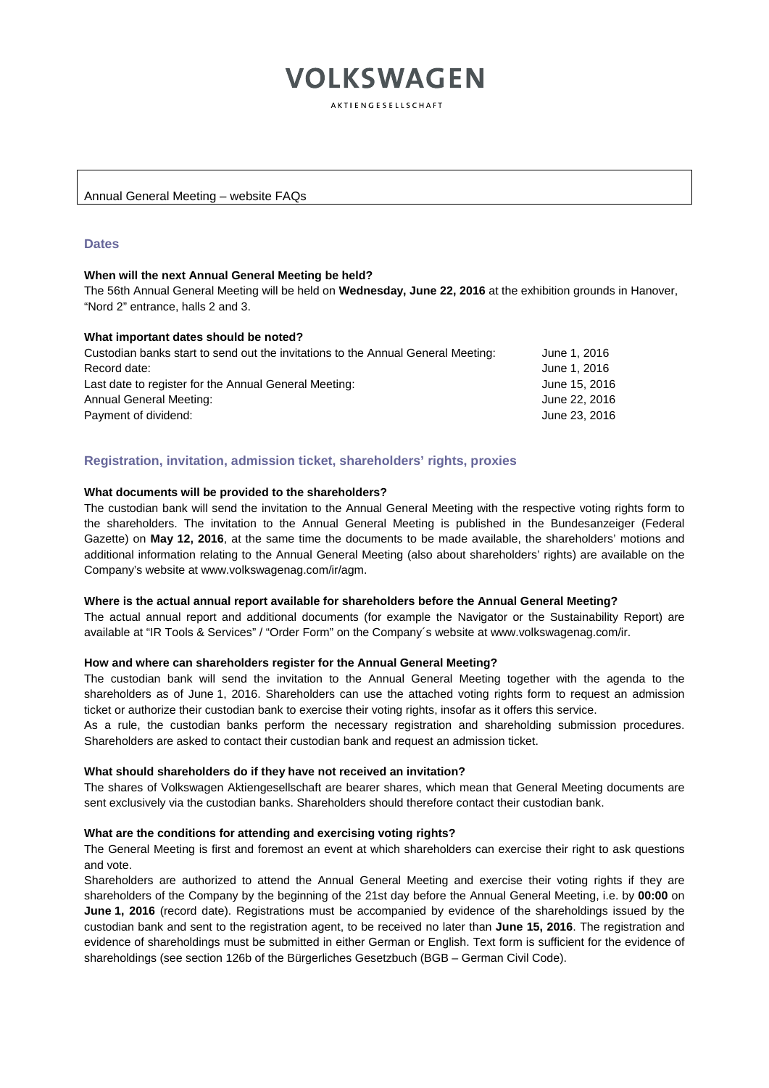AKTIENGESELLSCHAFT

Annual General Meeting – website FAQs

# **Dates**

#### **When will the next Annual General Meeting be held?**

The 56th Annual General Meeting will be held on **Wednesday, June 22, 2016** at the exhibition grounds in Hanover, "Nord 2" entrance, halls 2 and 3.

# **What important dates should be noted?**

| Custodian banks start to send out the invitations to the Annual General Meeting: | June 1, 2016  |
|----------------------------------------------------------------------------------|---------------|
| Record date:                                                                     | June 1, 2016  |
| Last date to register for the Annual General Meeting:                            | June 15, 2016 |
| Annual General Meeting:                                                          | June 22, 2016 |
| Payment of dividend:                                                             | June 23, 2016 |

# **Registration, invitation, admission ticket, shareholders' rights, proxies**

#### **What documents will be provided to the shareholders?**

The custodian bank will send the invitation to the Annual General Meeting with the respective voting rights form to the shareholders. The invitation to the Annual General Meeting is published in the Bundesanzeiger (Federal Gazette) on **May 12, 2016**, at the same time the documents to be made available, the shareholders' motions and additional information relating to the Annual General Meeting (also about shareholders' rights) are available on the Company's website at www.volkswagenag.com/ir/agm.

#### **Where is the actual annual report available for shareholders before the Annual General Meeting?**

The actual annual report and additional documents (for example the Navigator or the Sustainability Report) are available at "IR Tools & Services" / "Order Form" on the Company´s website at www.volkswagenag.com/ir.

#### **How and where can shareholders register for the Annual General Meeting?**

The custodian bank will send the invitation to the Annual General Meeting together with the agenda to the shareholders as of June 1, 2016. Shareholders can use the attached voting rights form to request an admission ticket or authorize their custodian bank to exercise their voting rights, insofar as it offers this service.

As a rule, the custodian banks perform the necessary registration and shareholding submission procedures. Shareholders are asked to contact their custodian bank and request an admission ticket.

#### **What should shareholders do if they have not received an invitation?**

The shares of Volkswagen Aktiengesellschaft are bearer shares, which mean that General Meeting documents are sent exclusively via the custodian banks. Shareholders should therefore contact their custodian bank.

#### **What are the conditions for attending and exercising voting rights?**

The General Meeting is first and foremost an event at which shareholders can exercise their right to ask questions and vote.

Shareholders are authorized to attend the Annual General Meeting and exercise their voting rights if they are shareholders of the Company by the beginning of the 21st day before the Annual General Meeting, i.e. by **00:00** on **June 1, 2016** (record date). Registrations must be accompanied by evidence of the shareholdings issued by the custodian bank and sent to the registration agent, to be received no later than **June 15, 2016**. The registration and evidence of shareholdings must be submitted in either German or English. Text form is sufficient for the evidence of shareholdings (see section 126b of the Bürgerliches Gesetzbuch (BGB – German Civil Code).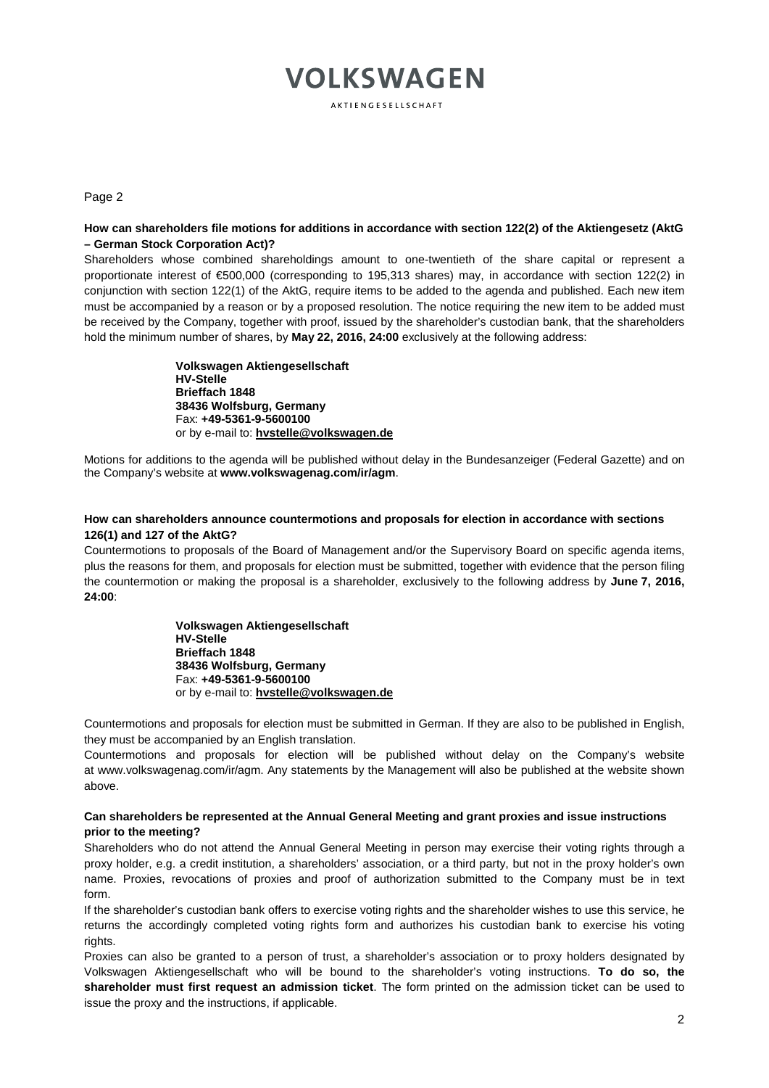AKTIENGESELLSCHAFT

#### Page 2

# **How can shareholders file motions for additions in accordance with section 122(2) of the Aktiengesetz (AktG – German Stock Corporation Act)?**

Shareholders whose combined shareholdings amount to one-twentieth of the share capital or represent a proportionate interest of €500,000 (corresponding to 195,313 shares) may, in accordance with section 122(2) in conjunction with section 122(1) of the AktG, require items to be added to the agenda and published. Each new item must be accompanied by a reason or by a proposed resolution. The notice requiring the new item to be added must be received by the Company, together with proof, issued by the shareholder's custodian bank, that the shareholders hold the minimum number of shares, by **May 22, 2016, 24:00** exclusively at the following address:

> **Volkswagen Aktiengesellschaft HV-Stelle Brieffach 1848 38436 Wolfsburg, Germany** Fax: **+49-5361-9-5600100**  or by e-mail to: **[hvstelle@volkswagen.de](mailto:hvstelle@volkswagen.de)**

Motions for additions to the agenda will be published without delay in the Bundesanzeiger (Federal Gazette) and on the Company's website at **www.volkswagenag.com/ir/agm**.

# **How can shareholders announce countermotions and proposals for election in accordance with sections 126(1) and 127 of the AktG?**

Countermotions to proposals of the Board of Management and/or the Supervisory Board on specific agenda items, plus the reasons for them, and proposals for election must be submitted, together with evidence that the person filing the countermotion or making the proposal is a shareholder, exclusively to the following address by **June 7, 2016, 24:00**:

> **Volkswagen Aktiengesellschaft HV-Stelle Brieffach 1848 38436 Wolfsburg, Germany** Fax: **+49-5361-9-5600100**  or by e-mail to: **hvstelle@volkswagen.de**

Countermotions and proposals for election must be submitted in German. If they are also to be published in English, they must be accompanied by an English translation.

Countermotions and proposals for election will be published without delay on the Company's website at [www.volkswagenag.com/ir/agm.](http://www.volkswagenag.com/ir/agm) Any statements by the Management will also be published at the website shown above.

# **Can shareholders be represented at the Annual General Meeting and grant proxies and issue instructions prior to the meeting?**

Shareholders who do not attend the Annual General Meeting in person may exercise their voting rights through a proxy holder, e.g. a credit institution, a shareholders' association, or a third party, but not in the proxy holder's own name. Proxies, revocations of proxies and proof of authorization submitted to the Company must be in text form.

If the shareholder's custodian bank offers to exercise voting rights and the shareholder wishes to use this service, he returns the accordingly completed voting rights form and authorizes his custodian bank to exercise his voting rights.

Proxies can also be granted to a person of trust, a shareholder's association or to proxy holders designated by Volkswagen Aktiengesellschaft who will be bound to the shareholder's voting instructions. **To do so, the shareholder must first request an admission ticket**. The form printed on the admission ticket can be used to issue the proxy and the instructions, if applicable.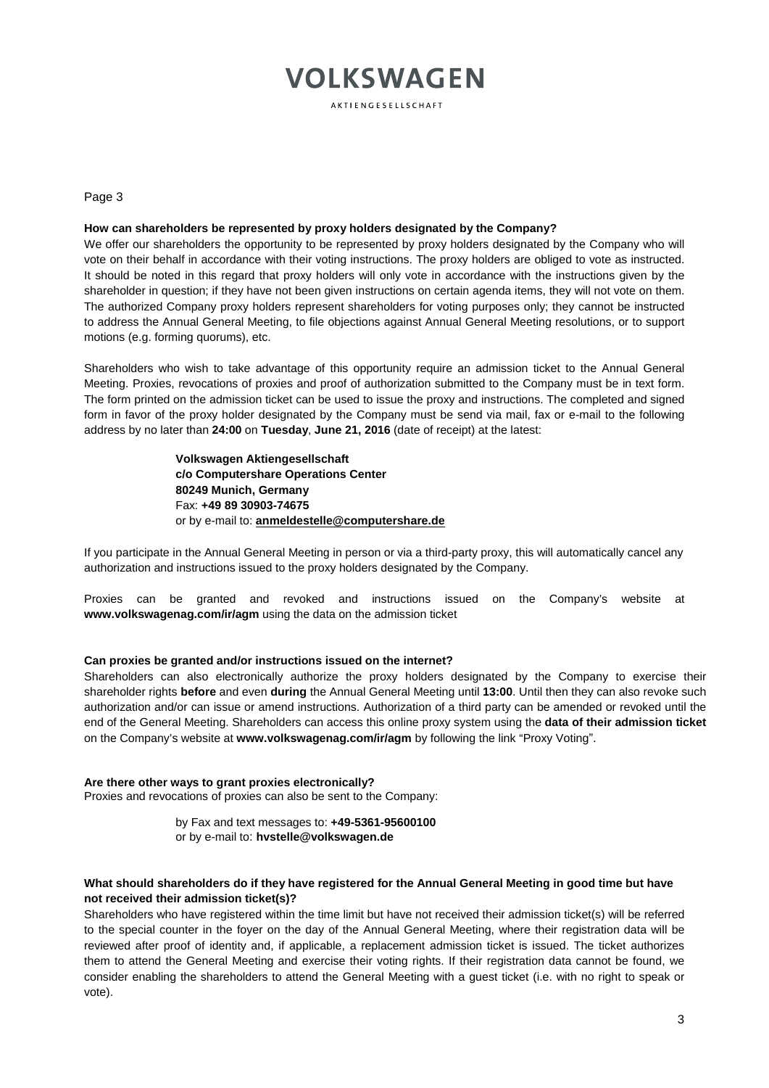AKTIENGESELLSCHAFT

Page 3

# **How can shareholders be represented by proxy holders designated by the Company?**

We offer our shareholders the opportunity to be represented by proxy holders designated by the Company who will vote on their behalf in accordance with their voting instructions. The proxy holders are obliged to vote as instructed. It should be noted in this regard that proxy holders will only vote in accordance with the instructions given by the shareholder in question; if they have not been given instructions on certain agenda items, they will not vote on them. The authorized Company proxy holders represent shareholders for voting purposes only; they cannot be instructed to address the Annual General Meeting, to file objections against Annual General Meeting resolutions, or to support motions (e.g. forming quorums), etc.

Shareholders who wish to take advantage of this opportunity require an admission ticket to the Annual General Meeting. Proxies, revocations of proxies and proof of authorization submitted to the Company must be in text form. The form printed on the admission ticket can be used to issue the proxy and instructions. The completed and signed form in favor of the proxy holder designated by the Company must be send via mail, fax or e-mail to the following address by no later than **24:00** on **Tuesday**, **June 21, 2016** (date of receipt) at the latest:

> **Volkswagen Aktiengesellschaft c/o Computershare Operations Center 80249 Munich, Germany** Fax: **+49 89 30903-74675** or by e-mail to: **[anmeldestelle@computershare.de](mailto:anmeldestelle@computershare.de)**

If you participate in the Annual General Meeting in person or via a third-party proxy, this will automatically cancel any authorization and instructions issued to the proxy holders designated by the Company.

Proxies can be granted and revoked and instructions issued on the Company's website at **www.volkswagenag.com/ir/agm** using the data on the admission ticket

#### **Can proxies be granted and/or instructions issued on the internet?**

Shareholders can also electronically authorize the proxy holders designated by the Company to exercise their shareholder rights **before** and even **during** the Annual General Meeting until **13:00**. Until then they can also revoke such authorization and/or can issue or amend instructions. Authorization of a third party can be amended or revoked until the end of the General Meeting. Shareholders can access this online proxy system using the **data of their admission ticket** on the Company's website at **[www.volkswagenag.com/ir/agm](http://www.volkswagenag.com/ir/agm)** by following the link "Proxy Voting".

#### **Are there other ways to grant proxies electronically?** Proxies and revocations of proxies can also be sent to the Company:

by Fax and text messages to: **+49-5361-95600100** or by e-mail to: **[hvstelle@volkswagen.de](mailto:hvstelle@volkswagen.de)**

# **What should shareholders do if they have registered for the Annual General Meeting in good time but have not received their admission ticket(s)?**

Shareholders who have registered within the time limit but have not received their admission ticket(s) will be referred to the special counter in the foyer on the day of the Annual General Meeting, where their registration data will be reviewed after proof of identity and, if applicable, a replacement admission ticket is issued. The ticket authorizes them to attend the General Meeting and exercise their voting rights. If their registration data cannot be found, we consider enabling the shareholders to attend the General Meeting with a guest ticket (i.e. with no right to speak or vote).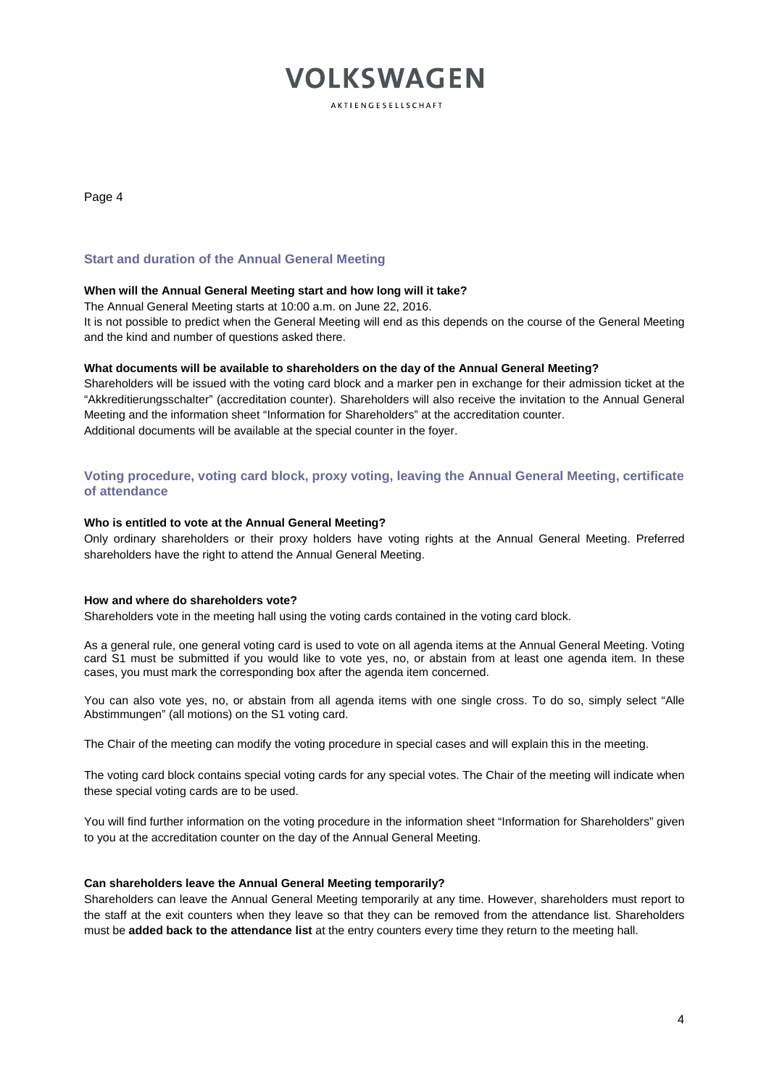**AKTIENGESELLSCHAFT** 

Page 4

# **Start and duration of the Annual General Meeting**

# **When will the Annual General Meeting start and how long will it take?**

The Annual General Meeting starts at 10:00 a.m. on June 22, 2016.

It is not possible to predict when the General Meeting will end as this depends on the course of the General Meeting and the kind and number of questions asked there.

# **What documents will be available to shareholders on the day of the Annual General Meeting?**

Shareholders will be issued with the voting card block and a marker pen in exchange for their admission ticket at the "Akkreditierungsschalter" (accreditation counter). Shareholders will also receive the invitation to the Annual General Meeting and the information sheet "Information for Shareholders" at the accreditation counter. Additional documents will be available at the special counter in the foyer.

# **Voting procedure, voting card block, proxy voting, leaving the Annual General Meeting, certificate of attendance**

#### **Who is entitled to vote at the Annual General Meeting?**

Only ordinary shareholders or their proxy holders have voting rights at the Annual General Meeting. Preferred shareholders have the right to attend the Annual General Meeting.

# **How and where do shareholders vote?**

Shareholders vote in the meeting hall using the voting cards contained in the voting card block.

As a general rule, one general voting card is used to vote on all agenda items at the Annual General Meeting. Voting card S1 must be submitted if you would like to vote yes, no, or abstain from at least one agenda item. In these cases, you must mark the corresponding box after the agenda item concerned.

You can also vote yes, no, or abstain from all agenda items with one single cross. To do so, simply select "Alle Abstimmungen" (all motions) on the S1 voting card.

The Chair of the meeting can modify the voting procedure in special cases and will explain this in the meeting.

The voting card block contains special voting cards for any special votes. The Chair of the meeting will indicate when these special voting cards are to be used.

You will find further information on the voting procedure in the information sheet "Information for Shareholders" given to you at the accreditation counter on the day of the Annual General Meeting.

#### **Can shareholders leave the Annual General Meeting temporarily?**

Shareholders can leave the Annual General Meeting temporarily at any time. However, shareholders must report to the staff at the exit counters when they leave so that they can be removed from the attendance list. Shareholders must be **added back to the attendance list** at the entry counters every time they return to the meeting hall.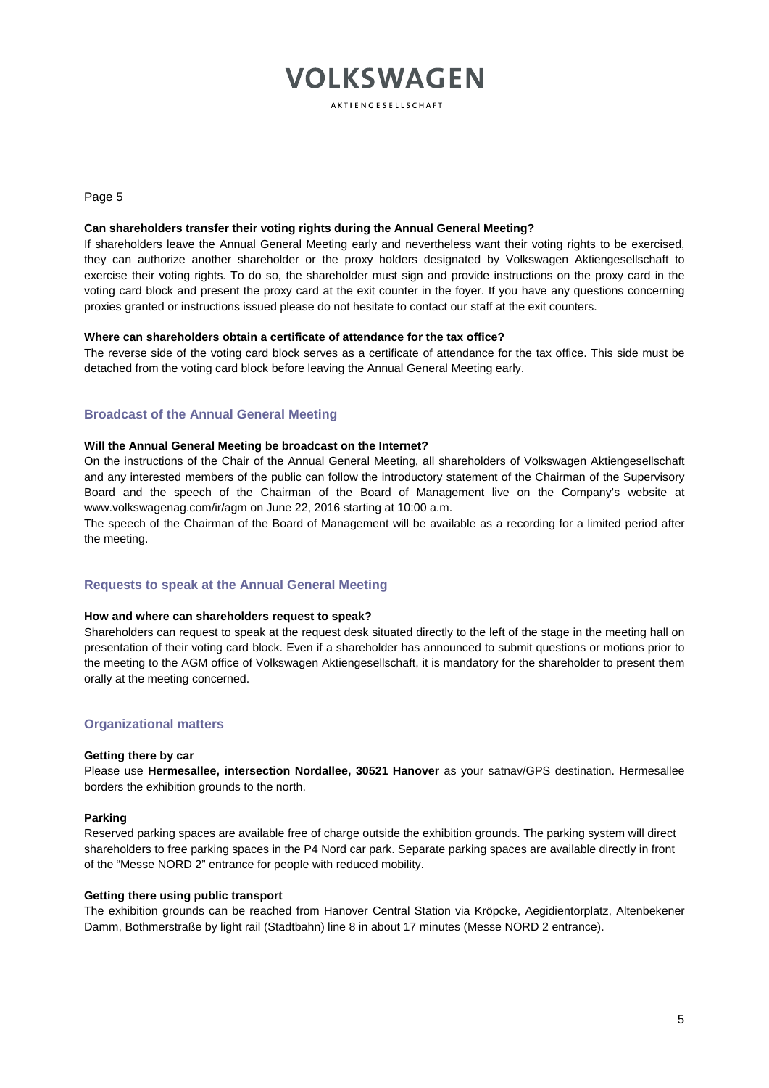AKTIENGESELLSCHAFT

Page 5

#### **Can shareholders transfer their voting rights during the Annual General Meeting?**

If shareholders leave the Annual General Meeting early and nevertheless want their voting rights to be exercised, they can authorize another shareholder or the proxy holders designated by Volkswagen Aktiengesellschaft to exercise their voting rights. To do so, the shareholder must sign and provide instructions on the proxy card in the voting card block and present the proxy card at the exit counter in the foyer. If you have any questions concerning proxies granted or instructions issued please do not hesitate to contact our staff at the exit counters.

# **Where can shareholders obtain a certificate of attendance for the tax office?**

The reverse side of the voting card block serves as a certificate of attendance for the tax office. This side must be detached from the voting card block before leaving the Annual General Meeting early.

# **Broadcast of the Annual General Meeting**

# **Will the Annual General Meeting be broadcast on the Internet?**

On the instructions of the Chair of the Annual General Meeting, all shareholders of Volkswagen Aktiengesellschaft and any interested members of the public can follow the introductory statement of the Chairman of the Supervisory Board and the speech of the Chairman of the Board of Management live on the Company's website at www.volkswagenag.com/ir/agm on June 22, 2016 starting at 10:00 a.m.

The speech of the Chairman of the Board of Management will be available as a recording for a limited period after the meeting.

# **Requests to speak at the Annual General Meeting**

#### **How and where can shareholders request to speak?**

Shareholders can request to speak at the request desk situated directly to the left of the stage in the meeting hall on presentation of their voting card block. Even if a shareholder has announced to submit questions or motions prior to the meeting to the AGM office of Volkswagen Aktiengesellschaft, it is mandatory for the shareholder to present them orally at the meeting concerned.

# **Organizational matters**

#### **Getting there by car**

Please use **Hermesallee, intersection Nordallee, 30521 Hanover** as your satnav/GPS destination. Hermesallee borders the exhibition grounds to the north.

#### **Parking**

Reserved parking spaces are available free of charge outside the exhibition grounds. The parking system will direct shareholders to free parking spaces in the P4 Nord car park. Separate parking spaces are available directly in front of the "Messe NORD 2" entrance for people with reduced mobility.

#### **Getting there using public transport**

The exhibition grounds can be reached from Hanover Central Station via Kröpcke, Aegidientorplatz, Altenbekener Damm, Bothmerstraße by light rail (Stadtbahn) line 8 in about 17 minutes (Messe NORD 2 entrance).